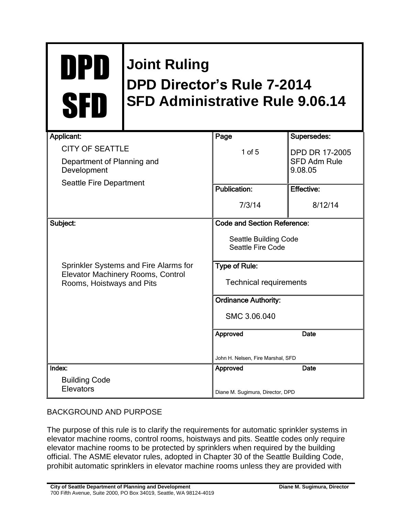## DPD SFD

## **Joint Ruling DPD Director's Rule 7-2014 SFD Administrative Rule 9.06.14**

| <b>Applicant:</b>                                                                                       | Page                                              | Supersedes:                    |
|---------------------------------------------------------------------------------------------------------|---------------------------------------------------|--------------------------------|
| <b>CITY OF SEATTLE</b>                                                                                  | $1$ of $5$                                        | <b>DPD DR 17-2005</b>          |
| Department of Planning and<br>Development                                                               |                                                   | <b>SFD Adm Rule</b><br>9.08.05 |
| Seattle Fire Department                                                                                 |                                                   |                                |
|                                                                                                         | <b>Publication:</b>                               | <b>Effective:</b>              |
|                                                                                                         | 7/3/14                                            | 8/12/14                        |
| Subject:                                                                                                | <b>Code and Section Reference:</b>                |                                |
|                                                                                                         | <b>Seattle Building Code</b><br>Seattle Fire Code |                                |
| Sprinkler Systems and Fire Alarms for<br>Elevator Machinery Rooms, Control<br>Rooms, Hoistways and Pits | <b>Type of Rule:</b>                              |                                |
|                                                                                                         | <b>Technical requirements</b>                     |                                |
|                                                                                                         | <b>Ordinance Authority:</b>                       |                                |
|                                                                                                         | SMC 3.06.040                                      |                                |
|                                                                                                         | Approved                                          | <b>Date</b>                    |
|                                                                                                         |                                                   |                                |
|                                                                                                         | John H. Nelsen, Fire Marshal, SFD                 |                                |
| Index:                                                                                                  | Approved                                          | Date                           |
| <b>Building Code</b>                                                                                    |                                                   |                                |
| Elevators                                                                                               | Diane M. Sugimura, Director, DPD                  |                                |

## BACKGROUND AND PURPOSE

The purpose of this rule is to clarify the requirements for automatic sprinkler systems in elevator machine rooms, control rooms, hoistways and pits. Seattle codes only require elevator machine rooms to be protected by sprinklers when required by the building official. The ASME elevator rules, adopted in Chapter 30 of the Seattle Building Code, prohibit automatic sprinklers in elevator machine rooms unless they are provided with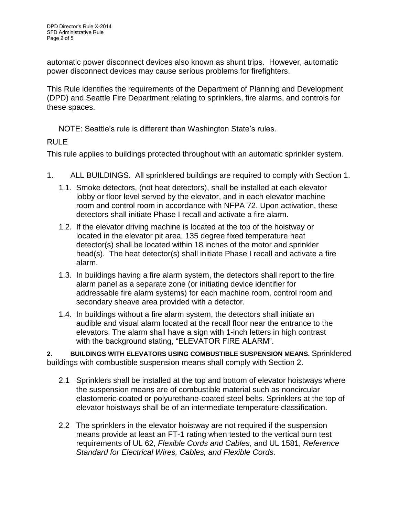automatic power disconnect devices also known as shunt trips. However, automatic power disconnect devices may cause serious problems for firefighters.

This Rule identifies the requirements of the Department of Planning and Development (DPD) and Seattle Fire Department relating to sprinklers, fire alarms, and controls for these spaces.

NOTE: Seattle's rule is different than Washington State's rules.

## RULE

This rule applies to buildings protected throughout with an automatic sprinkler system.

- 1. ALL BUILDINGS. All sprinklered buildings are required to comply with Section 1.
	- 1.1. Smoke detectors, (not heat detectors), shall be installed at each elevator lobby or floor level served by the elevator, and in each elevator machine room and control room in accordance with NFPA 72. Upon activation, these detectors shall initiate Phase I recall and activate a fire alarm.
	- 1.2. If the elevator driving machine is located at the top of the hoistway or located in the elevator pit area, 135 degree fixed temperature heat detector(s) shall be located within 18 inches of the motor and sprinkler head(s). The heat detector(s) shall initiate Phase I recall and activate a fire alarm.
	- 1.3. In buildings having a fire alarm system, the detectors shall report to the fire alarm panel as a separate zone (or initiating device identifier for addressable fire alarm systems) for each machine room, control room and secondary sheave area provided with a detector.
	- 1.4. In buildings without a fire alarm system, the detectors shall initiate an audible and visual alarm located at the recall floor near the entrance to the elevators. The alarm shall have a sign with 1-inch letters in high contrast with the background stating, "ELEVATOR FIRE ALARM".

**2. BUILDINGS WITH ELEVATORS USING COMBUSTIBLE SUSPENSION MEANS.** Sprinklered buildings with combustible suspension means shall comply with Section 2.

- 2.1 Sprinklers shall be installed at the top and bottom of elevator hoistways where the suspension means are of combustible material such as noncircular elastomeric-coated or polyurethane-coated steel belts. Sprinklers at the top of elevator hoistways shall be of an intermediate temperature classification.
- 2.2 The sprinklers in the elevator hoistway are not required if the suspension means provide at least an FT-1 rating when tested to the vertical burn test requirements of UL 62, *Flexible Cords and Cables*, and UL 1581, *Reference Standard for Electrical Wires, Cables, and Flexible Cords*.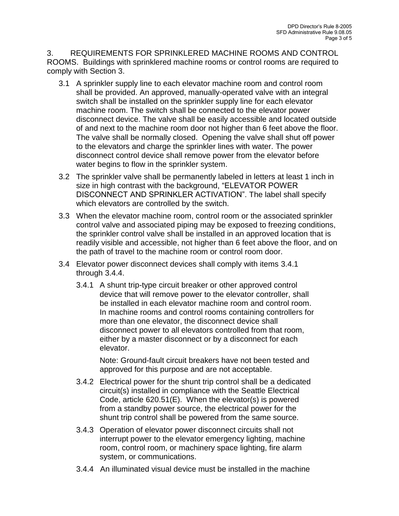3. REQUIREMENTS FOR SPRINKLERED MACHINE ROOMS AND CONTROL ROOMS. Buildings with sprinklered machine rooms or control rooms are required to comply with Section 3.

- 3.1 A sprinkler supply line to each elevator machine room and control room shall be provided. An approved, manually-operated valve with an integral switch shall be installed on the sprinkler supply line for each elevator machine room. The switch shall be connected to the elevator power disconnect device. The valve shall be easily accessible and located outside of and next to the machine room door not higher than 6 feet above the floor. The valve shall be normally closed. Opening the valve shall shut off power to the elevators and charge the sprinkler lines with water. The power disconnect control device shall remove power from the elevator before water begins to flow in the sprinkler system.
- 3.2 The sprinkler valve shall be permanently labeled in letters at least 1 inch in size in high contrast with the background, "ELEVATOR POWER DISCONNECT AND SPRINKLER ACTIVATION". The label shall specify which elevators are controlled by the switch.
- 3.3 When the elevator machine room, control room or the associated sprinkler control valve and associated piping may be exposed to freezing conditions, the sprinkler control valve shall be installed in an approved location that is readily visible and accessible, not higher than 6 feet above the floor, and on the path of travel to the machine room or control room door.
- 3.4 Elevator power disconnect devices shall comply with items 3.4.1 through 3.4.4.
	- 3.4.1 A shunt trip-type circuit breaker or other approved control device that will remove power to the elevator controller, shall be installed in each elevator machine room and control room. In machine rooms and control rooms containing controllers for more than one elevator, the disconnect device shall disconnect power to all elevators controlled from that room, either by a master disconnect or by a disconnect for each elevator.

Note: Ground-fault circuit breakers have not been tested and approved for this purpose and are not acceptable.

- 3.4.2 Electrical power for the shunt trip control shall be a dedicated circuit(s) installed in compliance with the Seattle Electrical Code, article 620.51(E). When the elevator(s) is powered from a standby power source, the electrical power for the shunt trip control shall be powered from the same source.
- 3.4.3 Operation of elevator power disconnect circuits shall not interrupt power to the elevator emergency lighting, machine room, control room, or machinery space lighting, fire alarm system, or communications.
- 3.4.4 An illuminated visual device must be installed in the machine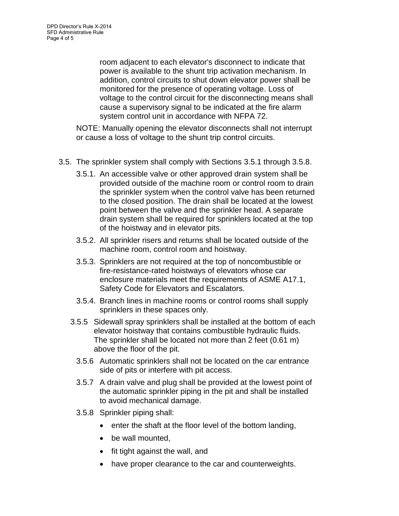room adjacent to each elevator's disconnect to indicate that power is available to the shunt trip activation mechanism. In addition, control circuits to shut down elevator power shall be monitored for the presence of operating voltage. Loss of voltage to the control circuit for the disconnecting means shall cause a supervisory signal to be indicated at the fire alarm system control unit in accordance with NFPA 72.

NOTE: Manually opening the elevator disconnects shall not interrupt or cause a loss of voltage to the shunt trip control circuits.

- 3.5. The sprinkler system shall comply with Sections 3.5.1 through 3.5.8.
	- 3.5.1. An accessible valve or other approved drain system shall be provided outside of the machine room or control room to drain the sprinkler system when the control valve has been returned to the closed position. The drain shall be located at the lowest point between the valve and the sprinkler head. A separate drain system shall be required for sprinklers located at the top of the hoistway and in elevator pits.
	- 3.5.2. All sprinkler risers and returns shall be located outside of the machine room, control room and hoistway.
	- 3.5.3. Sprinklers are not required at the top of noncombustible or fire-resistance-rated hoistways of elevators whose car enclosure materials meet the requirements of ASME A17.1, Safety Code for Elevators and Escalators.
	- 3.5.4. Branch lines in machine rooms or control rooms shall supply sprinklers in these spaces only.
	- 3.5.5 Sidewall spray sprinklers shall be installed at the bottom of each elevator hoistway that contains combustible hydraulic fluids. The sprinkler shall be located not more than 2 feet (0.61 m) above the floor of the pit.
		- 3.5.6 Automatic sprinklers shall not be located on the car entrance side of pits or interfere with pit access.
		- 3.5.7 A drain valve and plug shall be provided at the lowest point of the automatic sprinkler piping in the pit and shall be installed to avoid mechanical damage.
		- 3.5.8 Sprinkler piping shall:
			- enter the shaft at the floor level of the bottom landing,
			- be wall mounted.
			- fit tight against the wall, and
			- have proper clearance to the car and counterweights.